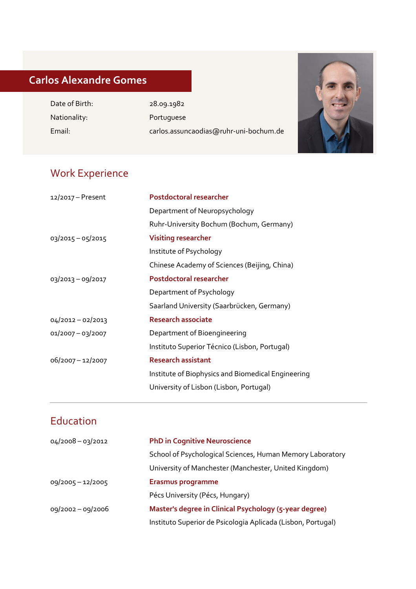# **Carlos Alexandre Gomes**

Date of Birth: 28.09.1982 Nationality: Portuguese

l

Email: carlos.assuncaodias@ruhr-uni-bochum.de



### Work Experience

| 12/2017 - Present | <b>Postdoctoral researcher</b>                     |
|-------------------|----------------------------------------------------|
|                   | Department of Neuropsychology                      |
|                   | Ruhr-University Bochum (Bochum, Germany)           |
| 03/2015 - 05/2015 | <b>Visiting researcher</b>                         |
|                   | Institute of Psychology                            |
|                   | Chinese Academy of Sciences (Beijing, China)       |
| 03/2013 - 09/2017 | Postdoctoral researcher                            |
|                   | Department of Psychology                           |
|                   | Saarland University (Saarbrücken, Germany)         |
| 04/2012-02/2013   | <b>Research associate</b>                          |
| 01/2007-03/2007   | Department of Bioengineering                       |
|                   | Instituto Superior Técnico (Lisbon, Portugal)      |
| 06/2007-12/2007   | <b>Research assistant</b>                          |
|                   | Institute of Biophysics and Biomedical Engineering |
|                   | University of Lisbon (Lisbon, Portugal)            |
|                   |                                                    |

## Education

| $04/2008 - 03/2012$ | <b>PhD in Cognitive Neuroscience</b>                         |
|---------------------|--------------------------------------------------------------|
|                     |                                                              |
|                     | School of Psychological Sciences, Human Memory Laboratory    |
|                     | University of Manchester (Manchester, United Kingdom)        |
| 09/2005 - 12/2005   | <b>Erasmus programme</b>                                     |
|                     | Pécs University (Pécs, Hungary)                              |
| 09/2002 - 09/2006   | Master's degree in Clinical Psychology (5-year degree)       |
|                     | Instituto Superior de Psicologia Aplicada (Lisbon, Portugal) |